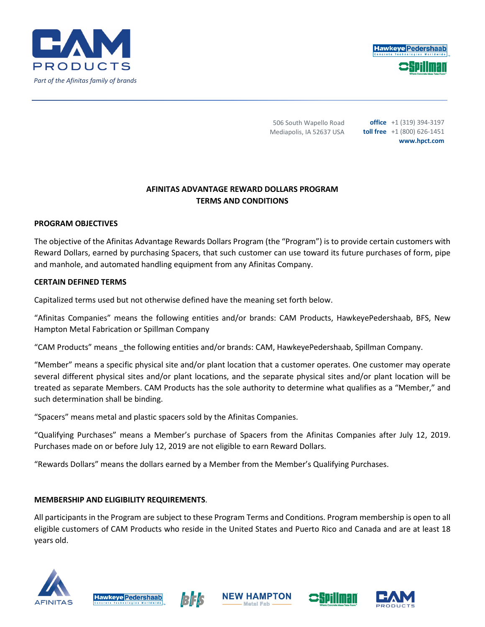



506 South Wapello Road Mediapolis, IA 52637 USA

**office** +1 (319) 394-3197 **toll free** +1 (800) 626-1451 **www.hpct.com**

# **AFINITAS ADVANTAGE REWARD DOLLARS PROGRAM TERMS AND CONDITIONS**

## **PROGRAM OBJECTIVES**

The objective of the Afinitas Advantage Rewards Dollars Program (the "Program") is to provide certain customers with Reward Dollars, earned by purchasing Spacers, that such customer can use toward its future purchases of form, pipe and manhole, and automated handling equipment from any Afinitas Company.

### **CERTAIN DEFINED TERMS**

Capitalized terms used but not otherwise defined have the meaning set forth below.

"Afinitas Companies" means the following entities and/or brands: CAM Products, HawkeyePedershaab, BFS, New Hampton Metal Fabrication or Spillman Company

"CAM Products" means \_the following entities and/or brands: CAM, HawkeyePedershaab, Spillman Company.

"Member" means a specific physical site and/or plant location that a customer operates. One customer may operate several different physical sites and/or plant locations, and the separate physical sites and/or plant location will be treated as separate Members. CAM Products has the sole authority to determine what qualifies as a "Member," and such determination shall be binding.

"Spacers" means metal and plastic spacers sold by the Afinitas Companies.

"Qualifying Purchases" means a Member's purchase of Spacers from the Afinitas Companies after July 12, 2019. Purchases made on or before July 12, 2019 are not eligible to earn Reward Dollars.

"Rewards Dollars" means the dollars earned by a Member from the Member's Qualifying Purchases.

## **MEMBERSHIP AND ELIGIBILITY REQUIREMENTS**.

All participants in the Program are subject to these Program Terms and Conditions. Program membership is open to all eligible customers of CAM Products who reside in the United States and Puerto Rico and Canada and are at least 18 years old.









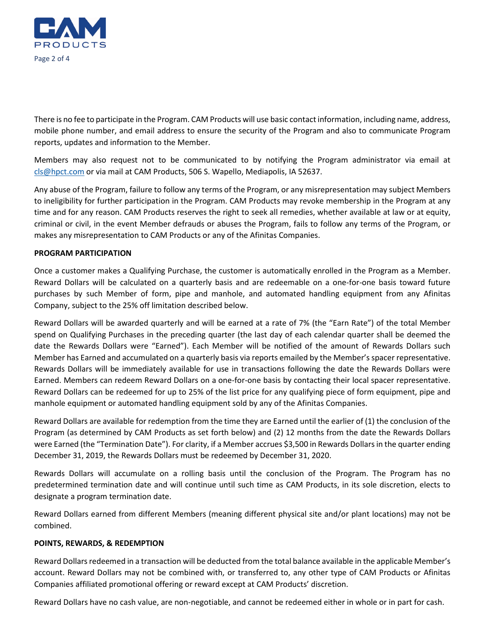

There is no fee to participate in the Program. CAM Products will use basic contact information, including name, address, mobile phone number, and email address to ensure the security of the Program and also to communicate Program reports, updates and information to the Member.

Members may also request not to be communicated to by notifying the Program administrator via email at [cls@hpct.com](mailto:cls@hpct.com) or via mail at CAM Products, 506 S. Wapello, Mediapolis, IA 52637.

Any abuse of the Program, failure to follow any terms of the Program, or any misrepresentation may subject Members to ineligibility for further participation in the Program. CAM Products may revoke membership in the Program at any time and for any reason. CAM Products reserves the right to seek all remedies, whether available at law or at equity, criminal or civil, in the event Member defrauds or abuses the Program, fails to follow any terms of the Program, or makes any misrepresentation to CAM Products or any of the Afinitas Companies.

#### **PROGRAM PARTICIPATION**

Once a customer makes a Qualifying Purchase, the customer is automatically enrolled in the Program as a Member. Reward Dollars will be calculated on a quarterly basis and are redeemable on a one-for-one basis toward future purchases by such Member of form, pipe and manhole, and automated handling equipment from any Afinitas Company, subject to the 25% off limitation described below.

Reward Dollars will be awarded quarterly and will be earned at a rate of 7% (the "Earn Rate") of the total Member spend on Qualifying Purchases in the preceding quarter (the last day of each calendar quarter shall be deemed the date the Rewards Dollars were "Earned"). Each Member will be notified of the amount of Rewards Dollars such Member has Earned and accumulated on a quarterly basis via reports emailed by the Member's spacer representative. Rewards Dollars will be immediately available for use in transactions following the date the Rewards Dollars were Earned. Members can redeem Reward Dollars on a one-for-one basis by contacting their local spacer representative. Reward Dollars can be redeemed for up to 25% of the list price for any qualifying piece of form equipment, pipe and manhole equipment or automated handling equipment sold by any of the Afinitas Companies.

Reward Dollars are available for redemption from the time they are Earned until the earlier of (1) the conclusion of the Program (as determined by CAM Products as set forth below) and (2) 12 months from the date the Rewards Dollars were Earned (the "Termination Date"). For clarity, if a Member accrues \$3,500 in Rewards Dollars in the quarter ending December 31, 2019, the Rewards Dollars must be redeemed by December 31, 2020.

Rewards Dollars will accumulate on a rolling basis until the conclusion of the Program. The Program has no predetermined termination date and will continue until such time as CAM Products, in its sole discretion, elects to designate a program termination date.

Reward Dollars earned from different Members (meaning different physical site and/or plant locations) may not be combined.

### **POINTS, REWARDS, & REDEMPTION**

Reward Dollars redeemed in a transaction will be deducted from the total balance available in the applicable Member's account. Reward Dollars may not be combined with, or transferred to, any other type of CAM Products or Afinitas Companies affiliated promotional offering or reward except at CAM Products' discretion.

Reward Dollars have no cash value, are non-negotiable, and cannot be redeemed either in whole or in part for cash.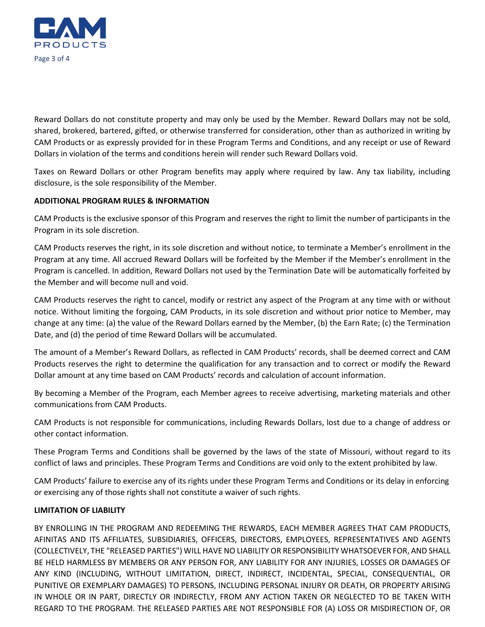

Reward Dollars do not constitute property and may only be used by the Member. Reward Dollars may not be sold, shared, brokered, bartered, gifted, or otherwise transferred for consideration, other than as authorized in writing by CAM Products or as expressly provided for in these Program Terms and Conditions, and any receipt or use of Reward Dollars in violation of the terms and conditions herein will render such Reward Dollars void.

Taxes on Reward Dollars or other Program benefits may apply where required by law. Any tax liability, including disclosure, is the sole responsibility of the Member.

### **ADDITIONAL PROGRAM RULES & INFORMATION**

CAM Products is the exclusive sponsor of this Program and reserves the right to limit the number of participants in the Program in its sole discretion.

CAM Products reserves the right, in its sole discretion and without notice, to terminate a Member's enrollment in the Program at any time. All accrued Reward Dollars will be forfeited by the Member if the Member's enrollment in the Program is cancelled. In addition, Reward Dollars not used by the Termination Date will be automatically forfeited by the Member and will become null and void.

CAM Products reserves the right to cancel, modify or restrict any aspect of the Program at any time with or without notice. Without limiting the forgoing, CAM Products, in its sole discretion and without prior notice to Member, may change at any time: (a) the value of the Reward Dollars earned by the Member, (b) the Earn Rate; (c) the Termination Date, and (d) the period of time Reward Dollars will be accumulated.

The amount of a Member's Reward Dollars, as reflected in CAM Products' records, shall be deemed correct and CAM Products reserves the right to determine the qualification for any transaction and to correct or modify the Reward Dollar amount at any time based on CAM Products' records and calculation of account information.

By becoming a Member of the Program, each Member agrees to receive advertising, marketing materials and other communications from CAM Products.

CAM Products is not responsible for communications, including Rewards Dollars, lost due to a change of address or other contact information.

These Program Terms and Conditions shall be governed by the laws of the state of Missouri, without regard to its conflict of laws and principles. These Program Terms and Conditions are void only to the extent prohibited by law.

CAM Products' failure to exercise any of its rights under these Program Terms and Conditions or its delay in enforcing or exercising any of those rights shall not constitute a waiver of such rights.

## **LIMITATION OF LIABILITY**

BY ENROLLING IN THE PROGRAM AND REDEEMING THE REWARDS, EACH MEMBER AGREES THAT CAM PRODUCTS, AFINITAS AND ITS AFFILIATES, SUBSIDIARIES, OFFICERS, DIRECTORS, EMPLOYEES, REPRESENTATIVES AND AGENTS (COLLECTIVELY, THE "RELEASED PARTIES") WILL HAVE NO LIABILITY OR RESPONSIBILITY WHATSOEVER FOR, AND SHALL BE HELD HARMLESS BY MEMBERS OR ANY PERSON FOR, ANY LIABILITY FOR ANY INJURIES, LOSSES OR DAMAGES OF ANY KIND (INCLUDING, WITHOUT LIMITATION, DIRECT, INDIRECT, INCIDENTAL, SPECIAL, CONSEQUENTIAL, OR PUNITIVE OR EXEMPLARY DAMAGES) TO PERSONS, INCLUDING PERSONAL INJURY OR DEATH, OR PROPERTY ARISING IN WHOLE OR IN PART, DIRECTLY OR INDIRECTLY, FROM ANY ACTION TAKEN OR NEGLECTED TO BE TAKEN WITH REGARD TO THE PROGRAM. THE RELEASED PARTIES ARE NOT RESPONSIBLE FOR (A) LOSS OR MISDIRECTION OF, OR